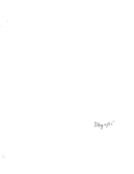$\label{eq:2} \frac{1}{\sqrt{2}}\int_{0}^{\infty}\frac{1}{\sqrt{2\pi}}\left(\frac{1}{\sqrt{2}}\right)^{2}d\mu_{\rm{eff}}$  $\label{eq:2.1} \frac{1}{\sqrt{2}}\int_{\mathbb{R}^3} \frac{1}{\sqrt{2}}\left(\frac{1}{\sqrt{2}}\right)^2\left(\frac{1}{\sqrt{2}}\right)^2\left(\frac{1}{\sqrt{2}}\right)^2\left(\frac{1}{\sqrt{2}}\right)^2.$ 

 $\frac{1}{2}$ 

 $\mathcal{L}^{\text{max}}_{\text{max}}$  and  $\mathcal{L}^{\text{max}}_{\text{max}}$ 

 $\label{eq:2.1} \frac{1}{\sqrt{2}}\int_{\mathbb{R}^3}\frac{1}{\sqrt{2}}\left(\frac{1}{\sqrt{2}}\right)^2\frac{1}{\sqrt{2}}\left(\frac{1}{\sqrt{2}}\right)^2\frac{1}{\sqrt{2}}\left(\frac{1}{\sqrt{2}}\right)^2\frac{1}{\sqrt{2}}\left(\frac{1}{\sqrt{2}}\right)^2.$ 

 $\begin{array}{l} \mathbf{1} \\ \mathbf{2} \\ \vdots \\ \mathbf{3}_{p-1} \in \mathbb{Z}^p \end{array}$  $\hat{\mathcal{A}}$ 

 $\frac{1}{2}$ 

May 14/85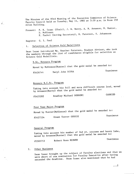The Minutes of the 83rd Meeting of the Executive Committee of Science Faculty Council held on Tuesday, May 14, 1985 at 3:30 p.m. in Room 250 Allen Building.

Present: P. K. Isaac (Chair), J. W. Berry, A. N. Arnason, N. Hunter, D. McKinnon

P. Pachol (Acting Secretary), H. Paterson, S. Johannson

Regrets: C. I. Paul

 $\epsilon$ .

# 1. Selection of Science Gold Medallists

Dean Isaac introduced Ms. Heather Paterson, Student Advisor, who took the members through the list of candidates eligible for selection as Science Gold Medallists.

## B.Sc. Honours Program

Moved by McKinnon(Hunter) that the gold medal be awarded to:

#5426744 Daryl John SCORA Unanimous

## Honours B.C.Sc. Program

Taking into account his full and more difficult course load, moved by Arnason(Berry) that the gold medal be awarded to:

#5425202 Bradley Michael DEBRONI CARRIED

### Four Year Major Program

Moved by Hunter(McKinnon) that the gold medal be awarded to:

#5427534 Grant Trevor GUSSIE Unanimous

### General Program

Taking into account his number of 2nd yr. courses and heavy labs, moved by Arnason(HUnter) that the gold medal be awarded to:

#5502753 Robert Ross MCEWEN Unanimous

#### 2. Other Business

Dean Isaac brought up the subject of Faculty elections and that we were short of one nomination for Faculty Executive after having extended the deadline. Dean Isaac also mentioned that he had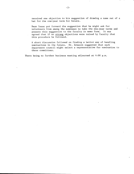received one objection to his suggestion of drawing a name out of a hat for the one-year term for Senate.

Dean Isaac put forward the suggestion that he might ask for volunteers from among the nominees to take the one-year terms and present this suggestion to the faculty in memo form. It was agreed that if no strong objections were raised by faculty that this procedure be followed.

A short discussion followed on finding a better way of handling nominations in the future. Dr. Arnason suggested that each department council might select a representative for nomination to these committees.

There being no further business meeting adjourned at 4:00 p.m.